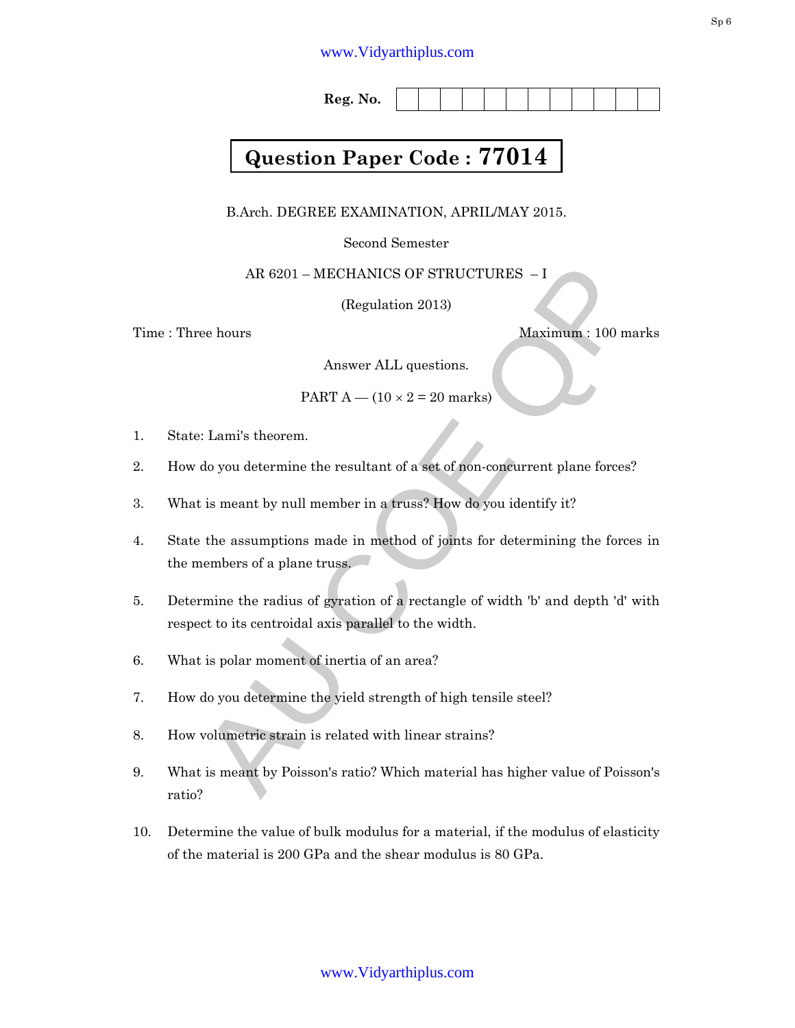## www.Vidyarthiplus.com

**Reg. No.** 

## **Question Paper Code : 77014**

B.Arch. DEGREE EXAMINATION, APRIL/MAY 2015.

Second Semester

AR 6201 – MECHANICS OF STRUCTURES – I

(Regulation 2013)

Time : Three hours Maximum : 100 marks

Answer ALL questions.

PART  $A - (10 \times 2 = 20$  marks)

- 1. State: Lami's theorem.
- 2. How do you determine the resultant of a set of non-concurrent plane forces?
- 3. What is meant by null member in a truss? How do you identify it?
- AR 6201 MECHANICS OF STRUCTURES I<br>
(Regulation 2013)<br>
ee hours<br>
Maximum : 100 marks<br>
Answer ALL questions.<br>
PART  $A (10 \times 2 = 20$  marks)<br>
<br>  $\therefore$  Lami's theorem.<br>
do you determine the resultant of a set of non-concurre 4. State the assumptions made in method of joints for determining the forces in the members of a plane truss.
- 5. Determine the radius of gyration of a rectangle of width 'b' and depth 'd' with respect to its centroidal axis parallel to the width.
- 6. What is polar moment of inertia of an area?
- 7. How do you determine the yield strength of high tensile steel?
- 8. How volumetric strain is related with linear strains?
- 9. What is meant by Poisson's ratio? Which material has higher value of Poisson's ratio?
- 10. Determine the value of bulk modulus for a material, if the modulus of elasticity of the material is 200 GPa and the shear modulus is 80 GPa.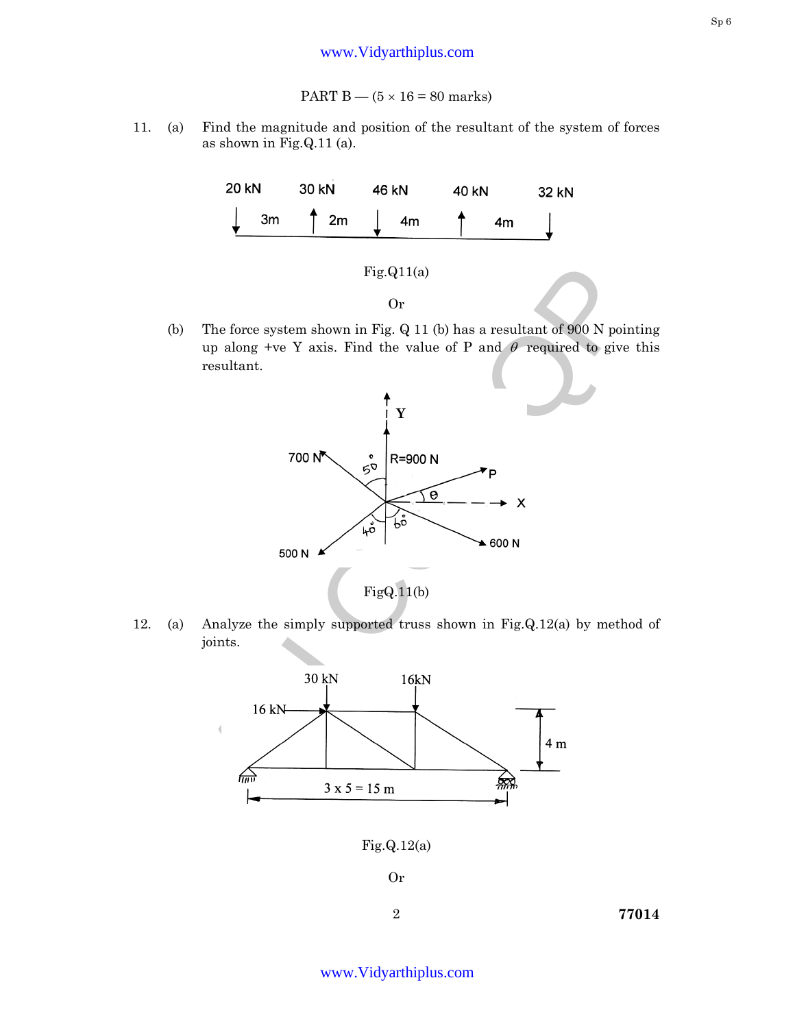11. (a) Find the magnitude and position of the resultant of the system of forces as shown in Fig.Q.11 (a).



(b) The force system shown in Fig. Q 11 (b) has a resultant of 900 N pointing up along +ve Y axis. Find the value of P and  $\theta$  required to give this resultant.



12. (a) Analyze the simply supported truss shown in Fig.Q.12(a) by method of joints.



Or

2 **77014**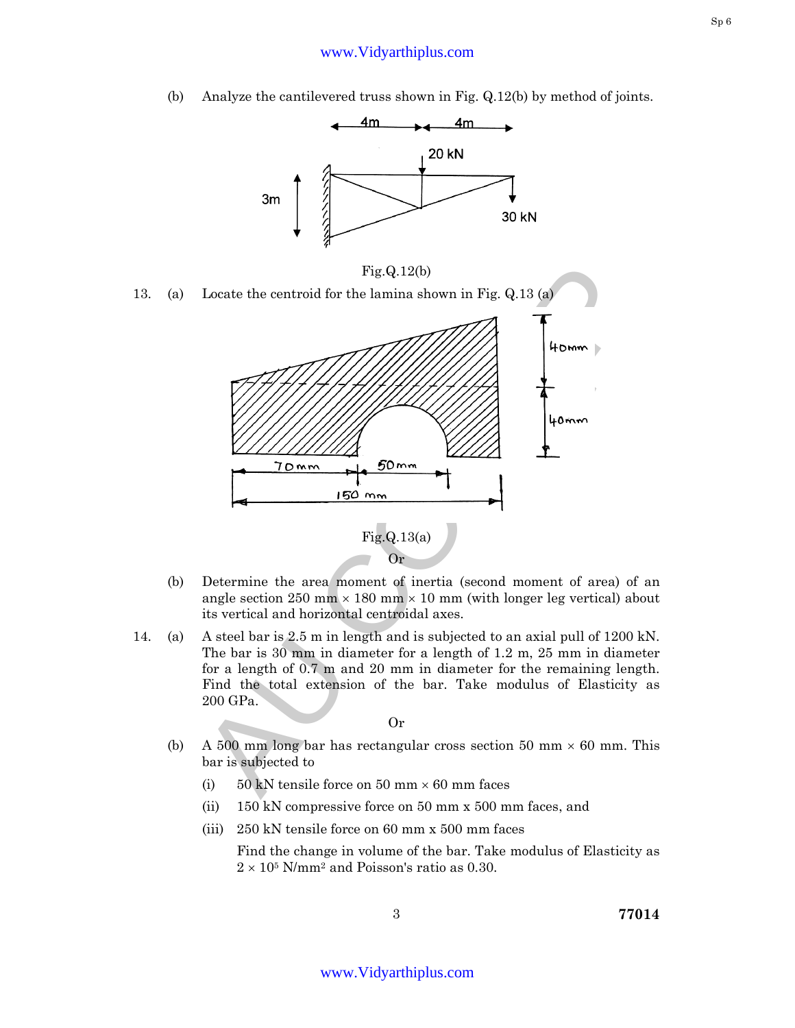(b) Analyze the cantilevered truss shown in Fig. Q.12(b) by method of joints.





- (b) Determine the area moment of inertia (second moment of area) of an angle section 250 mm  $\times$  180 mm  $\times$  10 mm (with longer leg vertical) about its vertical and horizontal centroidal axes.
- 14. (a) A steel bar is 2.5 m in length and is subjected to an axial pull of 1200 kN. The bar is 30 mm in diameter for a length of 1.2 m, 25 mm in diameter for a length of 0.7 m and 20 mm in diameter for the remaining length. Find the total extension of the bar. Take modulus of Elasticity as 200 GPa.

Or

- (b) A 500 mm long bar has rectangular cross section 50 mm  $\times$  60 mm. This bar is subjected to
	- (i) 50 kN tensile force on 50 mm  $\times$  60 mm faces
	- (ii) 150 kN compressive force on 50 mm x 500 mm faces, and
	- (iii) 250 kN tensile force on 60 mm x 500 mm faces

 Find the change in volume of the bar. Take modulus of Elasticity as  $2 \times 10^5$  N/mm<sup>2</sup> and Poisson's ratio as 0.30.